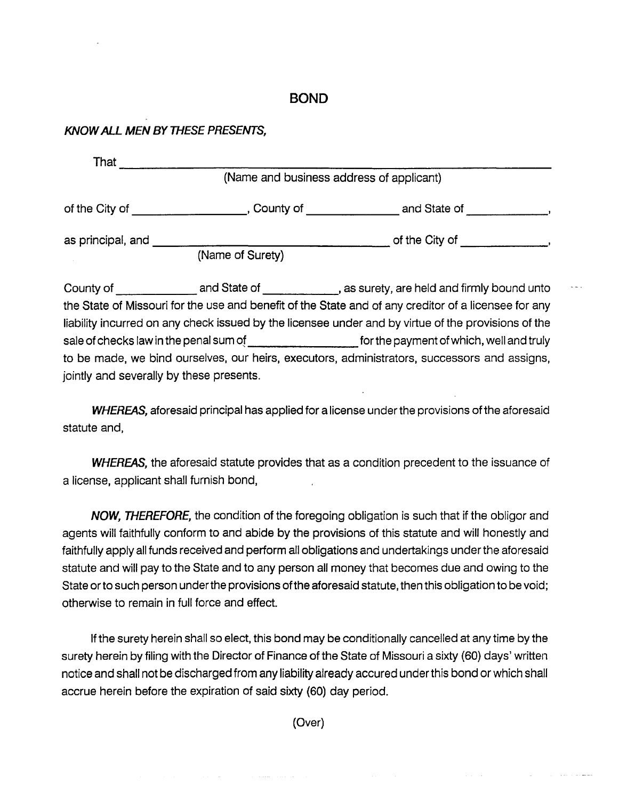## **BOND**

## **KNOW ALL MEN BY THESE PRESENTS,**

|                   | (Name and business address of applicant) |                |  |
|-------------------|------------------------------------------|----------------|--|
| of the City of    | County of                                | and State of   |  |
| as principal, and |                                          | of the City of |  |
|                   | (Name of Surety)                         |                |  |

County of **Example 20** and State of **Example 20** , as surety, are held and firmly bound unto the State of Missouri for the use and benefit of the State and of any creditor of a licensee for any liability incurred on any check issued by the licensee under and by virtue of the provisions of the sale of checks law in the penal sum of \_\_\_\_\_\_\_\_ forthe payment of which, well and truly to be made, we bind ourselves, our heirs, executors, administrators, successors and assigns, jointly and severally by these presents.

**WHEREAS,** aforesaid principal has applied for a license under the provisions of the aforesaid statute and,

**WHEREAS,** the aforesaid statute provides that as a condition precedent to the issuance of a license, applicant shall furnish bond,

NOW, THEREFORE, the condition of the foregoing obligation is such that if the obligor and agents will faithfully conform to and abide by the provisions of this statute and will honestly and faithfully apply all funds received and perform all obligations and undertakings under the aforesaid statute and will pay to the State and to any person all money that becomes due and owing to the State or to such person under the provisions of the aforesaid statute, then this obligation to be void; otherwise to remain in full force and effect.

If the surety herein shall so elect, this bond may be conditionally cancelled at any time by the surety herein by filing with the Director of Finance of the State of Missouri a sixty (60) days' written notice and shall not be discharged from any liability already accured under this bond or which shall accrue herein before the expiration of said sixty (60) day period.

(Over)